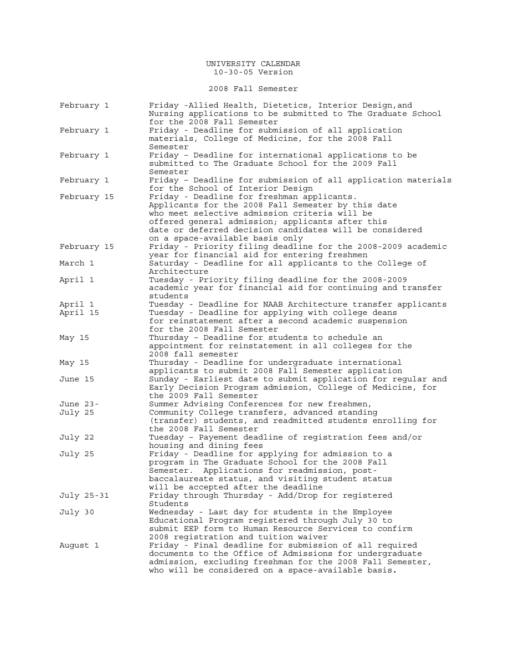2008 Fall Semester

| February 1  | Friday -Allied Health, Dietetics, Interior Design, and<br>Nursing applications to be submitted to The Graduate School<br>for the 2008 Fall Semester                                                                                                                                                 |
|-------------|-----------------------------------------------------------------------------------------------------------------------------------------------------------------------------------------------------------------------------------------------------------------------------------------------------|
| February 1  | Friday - Deadline for submission of all application<br>materials, College of Medicine, for the 2008 Fall<br>Semester                                                                                                                                                                                |
| February 1  | Friday - Deadline for international applications to be<br>submitted to The Graduate School for the 2009 Fall<br>Semester                                                                                                                                                                            |
| February 1  | Friday - Deadline for submission of all application materials<br>for the School of Interior Design                                                                                                                                                                                                  |
| February 15 | Friday - Deadline for freshman applicants.<br>Applicants for the 2008 Fall Semester by this date<br>who meet selective admission criteria will be<br>offered general admission; applicants after this<br>date or deferred decision candidates will be considered<br>on a space-available basis only |
| February 15 | Friday - Priority filing deadline for the 2008-2009 academic<br>year for financial aid for entering freshmen                                                                                                                                                                                        |
| March 1     | Saturday - Deadline for all applicants to the College of<br>Architecture                                                                                                                                                                                                                            |
| April 1     | Tuesday - Priority filing deadline for the 2008-2009<br>academic year for financial aid for continuing and transfer<br>students                                                                                                                                                                     |
| April 1     | Tuesday - Deadline for NAAB Architecture transfer applicants                                                                                                                                                                                                                                        |
| April 15    | Tuesday - Deadline for applying with college deans<br>for reinstatement after a second academic suspension<br>for the 2008 Fall Semester                                                                                                                                                            |
| May 15      | Thursday - Deadline for students to schedule an<br>appointment for reinstatement in all colleges for the<br>2008 fall semester                                                                                                                                                                      |
| May 15      | Thursday - Deadline for undergraduate international<br>applicants to submit 2008 Fall Semester application                                                                                                                                                                                          |
| June 15     | Sunday - Earliest date to submit application for regular and<br>Early Decision Program admission, College of Medicine, for<br>the 2009 Fall Semester                                                                                                                                                |
| June 23-    | Summer Advising Conferences for new freshmen,                                                                                                                                                                                                                                                       |
| July 25     | Community College transfers, advanced standing<br>(transfer) students, and readmitted students enrolling for<br>the 2008 Fall Semester                                                                                                                                                              |
| July 22     | Tuesday - Payement deadline of registration fees and/or<br>housing and dining fees                                                                                                                                                                                                                  |
| July 25     | Friday - Deadline for applying for admission to a<br>program in The Graduate School for the 2008 Fall<br>Semester. Applications for readmission, post-<br>baccalaureate status, and visiting student status<br>will be accepted after the deadline                                                  |
| July 25-31  | Friday through Thursday - Add/Drop for registered<br>Students                                                                                                                                                                                                                                       |
| July 30     | Wednesday - Last day for students in the Employee<br>Educational Program registered through July 30 to<br>submit EEP form to Human Resource Services to confirm<br>2008 registration and tuition waiver                                                                                             |
| August 1    | Friday - Final deadline for submission of all required<br>documents to the Office of Admissions for undergraduate<br>admission, excluding freshman for the 2008 Fall Semester,<br>who will be considered on a space-available basis.                                                                |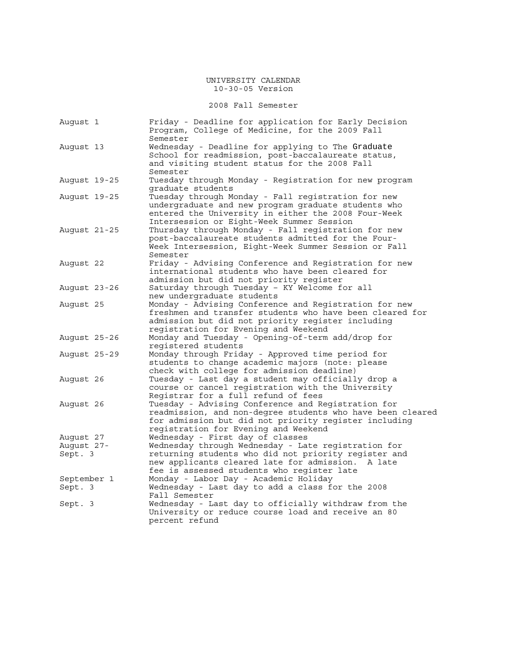### 2008 Fall Semester

| August 1               | Friday - Deadline for application for Early Decision<br>Program, College of Medicine, for the 2009 Fall<br>Semester                                                                                               |
|------------------------|-------------------------------------------------------------------------------------------------------------------------------------------------------------------------------------------------------------------|
| August 13              | Wednesday - Deadline for applying to The Graduate<br>School for readmission, post-baccalaureate status,<br>and visiting student status for the 2008 Fall<br>Semester                                              |
| August 19-25           | Tuesday through Monday - Registration for new program<br>graduate students                                                                                                                                        |
| August 19-25           | Tuesday through Monday - Fall registration for new<br>undergraduate and new program graduate students who<br>entered the University in either the 2008 Four-Week<br>Intersession or Eight-Week Summer Session     |
| August 21-25           | Thursday through Monday - Fall registration for new<br>post-baccalaureate students admitted for the Four-<br>Week Intersession, Eight-Week Summer Session or Fall<br>Semester                                     |
| August 22              | Friday - Advising Conference and Registration for new<br>international students who have been cleared for<br>admission but did not priority register                                                              |
| August 23-26           | Saturday through Tuesday - KY Welcome for all<br>new undergraduate students                                                                                                                                       |
| August 25              | Monday - Advising Conference and Registration for new<br>freshmen and transfer students who have been cleared for<br>admission but did not priority register including<br>registration for Evening and Weekend    |
| August 25-26           | Monday and Tuesday - Opening-of-term add/drop for<br>reqistered students                                                                                                                                          |
| August 25-29           | Monday through Friday - Approved time period for<br>students to change academic majors (note: please<br>check with college for admission deadline)                                                                |
| August 26              | Tuesday - Last day a student may officially drop a<br>course or cancel registration with the University<br>Registrar for a full refund of fees                                                                    |
| August 26              | Tuesday - Advising Conference and Registration for<br>readmission, and non-degree students who have been cleared<br>for admission but did not priority register including<br>registration for Evening and Weekend |
| August 27              | Wednesday - First day of classes                                                                                                                                                                                  |
| August 27-<br>Sept. 3  | Wednesday through Wednesday - Late registration for<br>returning students who did not priority register and<br>new applicants cleared late for admission.<br>A late<br>fee is assessed students who reqister late |
| September 1<br>Sept. 3 | Monday - Labor Day - Academic Holiday<br>Wednesday - Last day to add a class for the 2008<br>Fall Semester                                                                                                        |
| Sept. 3                | Wednesday - Last day to officially withdraw from the<br>University or reduce course load and receive an 80<br>percent refund                                                                                      |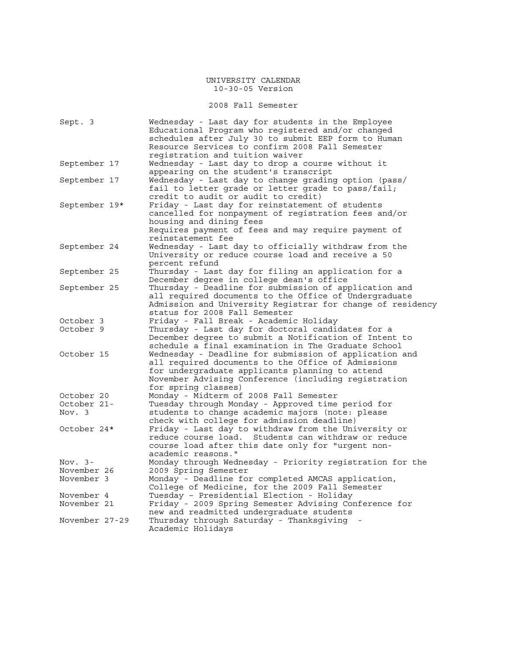2008 Fall Semester

| Sept. 3        | Wednesday - Last day for students in the Employee<br>Educational Program who registered and/or changed      |
|----------------|-------------------------------------------------------------------------------------------------------------|
|                | schedules after July 30 to submit EEP form to Human                                                         |
|                | Resource Services to confirm 2008 Fall Semester                                                             |
|                | registration and tuition waiver                                                                             |
| September 17   | Wednesday - Last day to drop a course without it                                                            |
|                | appearing on the student's transcript                                                                       |
| September 17   | Wednesday - Last day to change grading option (pass/                                                        |
|                | fail to letter grade or letter grade to pass/fail;                                                          |
|                | credit to audit or audit to credit)                                                                         |
| September 19*  | Friday - Last day for reinstatement of students                                                             |
|                | cancelled for nonpayment of registration fees and/or                                                        |
|                | housing and dining fees                                                                                     |
|                | Requires payment of fees and may require payment of                                                         |
|                | reinstatement fee                                                                                           |
| September 24   | Wednesday - Last day to officially withdraw from the                                                        |
|                | University or reduce course load and receive a 50                                                           |
|                | percent refund                                                                                              |
| September 25   | Thursday - Last day for filing an application for a                                                         |
|                | December degree in college dean's office                                                                    |
| September 25   | Thursday - Deadline for submission of application and                                                       |
|                | all required documents to the Office of Undergraduate                                                       |
|                | Admission and University Registrar for change of residency                                                  |
|                | status for 2008 Fall Semester                                                                               |
| October 3      | Friday - Fall Break - Academic Holiday                                                                      |
| October 9      | Thursday - Last day for doctoral candidates for a                                                           |
|                | December degree to submit a Notification of Intent to                                                       |
|                | schedule a final examination in The Graduate School                                                         |
| October 15     | Wednesday - Deadline for submission of application and                                                      |
|                | all required documents to the Office of Admissions                                                          |
|                | for undergraduate applicants planning to attend                                                             |
|                | November Advising Conference (including registration                                                        |
|                | for spring classes)                                                                                         |
| October 20     | Monday - Midterm of 2008 Fall Semester                                                                      |
| October 21-    | Tuesday through Monday - Approved time period for                                                           |
| Nov. 3         | students to change academic majors (note: please                                                            |
|                | check with college for admission deadline)                                                                  |
| October 24*    | Friday - Last day to withdraw from the University or<br>reduce course load. Students can withdraw or reduce |
|                | course load after this date only for "urgent non-                                                           |
|                | academic reasons."                                                                                          |
| Nov. $3-$      | Monday through Wednesday - Priority registration for the                                                    |
| November 26    | 2009 Spring Semester                                                                                        |
| November 3     | Monday - Deadline for completed AMCAS application,                                                          |
|                | College of Medicine, for the 2009 Fall Semester                                                             |
| November 4     | Tuesday - Presidential Election - Holiday                                                                   |
| November 21    | Friday - 2009 Spring Semester Advising Conference for                                                       |
|                | new and readmitted undergraduate students                                                                   |
| November 27-29 | Thursday through Saturday - Thanksgiving                                                                    |
|                | Academic Holidays                                                                                           |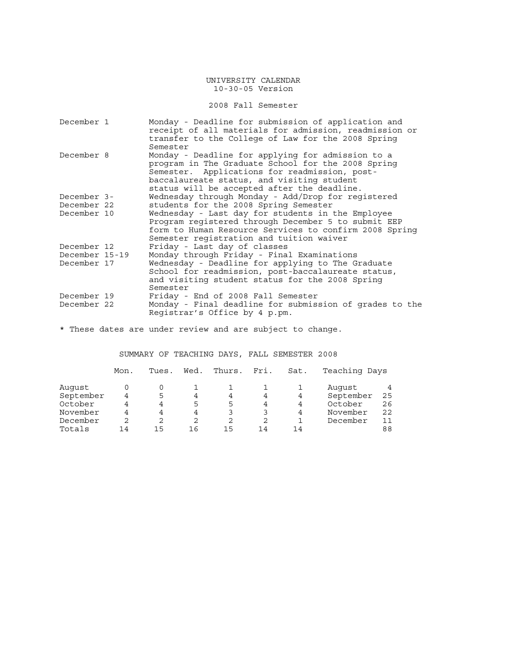### 2008 Fall Semester

| December 1     | Monday - Deadline for submission of application and<br>receipt of all materials for admission, readmission or                                                                                                                                         |
|----------------|-------------------------------------------------------------------------------------------------------------------------------------------------------------------------------------------------------------------------------------------------------|
|                | transfer to the College of Law for the 2008 Spring<br>Semester                                                                                                                                                                                        |
| December 8     | Monday - Deadline for applying for admission to a<br>program in The Graduate School for the 2008 Spring<br>Semester. Applications for readmission, post-<br>baccalaureate status, and visiting student<br>status will be accepted after the deadline. |
| December 3-    | Wednesday through Monday - Add/Drop for registered                                                                                                                                                                                                    |
| December 22    | students for the 2008 Spring Semester                                                                                                                                                                                                                 |
| December 10    | Wednesday - Last day for students in the Employee<br>Program registered through December 5 to submit EEP<br>form to Human Resource Services to confirm 2008 Spring<br>Semester registration and tuition waiver                                        |
| December 12    | Friday - Last day of classes                                                                                                                                                                                                                          |
| December 15-19 | Monday through Friday - Final Examinations                                                                                                                                                                                                            |
| December 17    | Wednesday - Deadline for applying to The Graduate<br>School for readmission, post-baccalaureate status,<br>and visiting student status for the 2008 Spring<br>Semester                                                                                |
| December 19    | Friday - End of 2008 Fall Semester                                                                                                                                                                                                                    |
| December 22    | Monday - Final deadline for submission of grades to the<br>Registrar's Office by 4 p.pm.                                                                                                                                                              |

\* These dates are under review and are subject to change.

SUMMARY OF TEACHING DAYS, FALL SEMESTER 2008

|           | Mon. | Tues. | Wed. | Thurs. | Fri. | Sat. | Teaching Days |    |
|-----------|------|-------|------|--------|------|------|---------------|----|
| Auqust    |      |       |      |        |      |      | August        |    |
| September | 4    | 5     | 4    | 4      |      | 4    | September     | 25 |
| October   | 4    | 4     | 5    | 5      | 4    | 4    | October       | 26 |
| November  | 4    | 4     | 4    |        | 3    | 4    | November      | 22 |
| December  | 2    | 2     | 2    |        | 2    |      | December      | 11 |
| Totals    | 14   | 15    | 16   | 15     | 14   | 14   |               | 88 |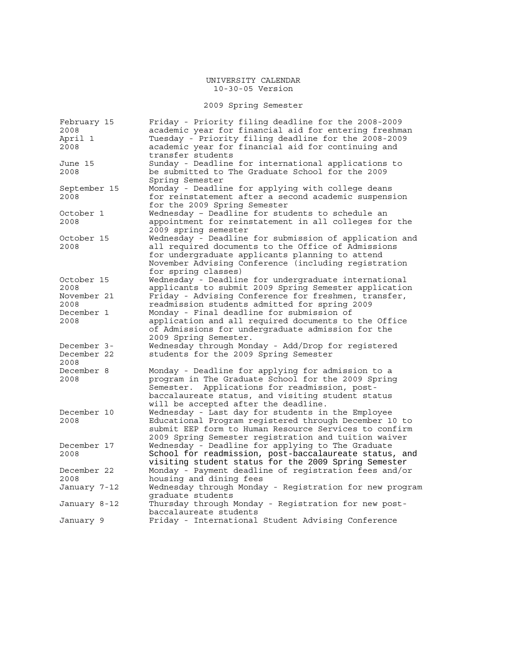# 2009 Spring Semester

| February 15<br>2008                | Friday - Priority filing deadline for the 2008-2009<br>academic year for financial aid for entering freshman                                                                                                                                             |
|------------------------------------|----------------------------------------------------------------------------------------------------------------------------------------------------------------------------------------------------------------------------------------------------------|
| April 1<br>2008                    | Tuesday - Priority filing deadline for the 2008-2009<br>academic year for financial aid for continuing and<br>transfer students                                                                                                                          |
| June 15<br>2008                    | Sunday - Deadline for international applications to<br>be submitted to The Graduate School for the 2009<br>Spring Semester                                                                                                                               |
| September 15<br>2008               | Monday - Deadline for applying with college deans<br>for reinstatement after a second academic suspension<br>for the 2009 Spring Semester                                                                                                                |
| October 1<br>2008                  | Wednesday - Deadline for students to schedule an<br>appointment for reinstatement in all colleges for the<br>2009 spring semester                                                                                                                        |
| October 15<br>2008                 | Wednesday - Deadline for submission of application and<br>all required documents to the Office of Admissions<br>for undergraduate applicants planning to attend<br>November Advising Conference (including registration<br>for spring classes)           |
| October 15<br>2008                 | Wednesday - Deadline for undergraduate international<br>applicants to submit 2009 Spring Semester application                                                                                                                                            |
| November 21<br>2008                | Friday - Advising Conference for freshmen, transfer,<br>readmission students admitted for spring 2009                                                                                                                                                    |
| December 1<br>2008                 | Monday - Final deadline for submission of<br>application and all required documents to the Office<br>of Admissions for undergraduate admission for the<br>2009 Spring Semester.                                                                          |
| December 3-<br>December 22<br>2008 | Wednesday through Monday - Add/Drop for registered<br>students for the 2009 Spring Semester                                                                                                                                                              |
| December 8<br>2008                 | Monday - Deadline for applying for admission to a<br>program in The Graduate School for the 2009 Spring<br>Applications for readmission, post-<br>Semester.<br>baccalaureate status, and visiting student status<br>will be accepted after the deadline. |
| December 10<br>2008                | Wednesday - Last day for students in the Employee<br>Educational Program registered through December 10 to<br>submit EEP form to Human Resource Services to confirm<br>2009 Spring Semester registration and tuition waiver                              |
| December 17<br>2008                | Wednesday - Deadline for applying to The Graduate<br>School for readmission, post-baccalaureate status, and<br>visiting student status for the 2009 Spring Semester                                                                                      |
| December 22<br>2008                | Monday - Payment deadline of registration fees and/or<br>housing and dining fees                                                                                                                                                                         |
| January 7-12                       | Wednesday through Monday - Registration for new program<br>graduate students                                                                                                                                                                             |
| January 8-12                       | Thursday through Monday - Registration for new post-<br>baccalaureate students                                                                                                                                                                           |
| January 9                          | Friday - International Student Advising Conference                                                                                                                                                                                                       |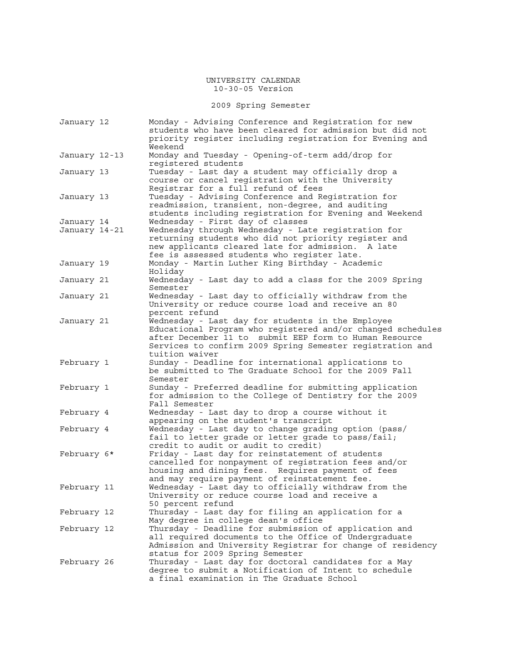2009 Spring Semester

| January 12                  | Monday - Advising Conference and Registration for new<br>students who have been cleared for admission but did not<br>priority register including registration for Evening and<br>Weekend                                                                  |
|-----------------------------|-----------------------------------------------------------------------------------------------------------------------------------------------------------------------------------------------------------------------------------------------------------|
| January 12-13               | Monday and Tuesday - Opening-of-term add/drop for<br>registered students                                                                                                                                                                                  |
| January 13                  | Tuesday - Last day a student may officially drop a<br>course or cancel registration with the University<br>Reqistrar for a full refund of fees                                                                                                            |
| January 13                  | Tuesday - Advising Conference and Registration for<br>readmission, transient, non-degree, and auditing<br>students including registration for Evening and Weekend                                                                                         |
| January 14<br>January 14-21 | Wednesday - First day of classes<br>Wednesday through Wednesday - Late registration for<br>returning students who did not priority register and<br>new applicants cleared late for admission. A late<br>fee is assessed students who register late.       |
| January 19                  | Monday - Martin Luther King Birthday - Academic<br>Holiday                                                                                                                                                                                                |
| January 21                  | Wednesday - Last day to add a class for the 2009 Spring<br>Semester                                                                                                                                                                                       |
| January 21                  | Wednesday - Last day to officially withdraw from the<br>University or reduce course load and receive an 80<br>percent refund                                                                                                                              |
| January 21                  | Wednesday - Last day for students in the Employee<br>Educational Program who registered and/or changed schedules<br>after December 11 to submit EEP form to Human Resource<br>Services to confirm 2009 Spring Semester registration and<br>tuition waiver |
| February 1                  | Sunday - Deadline for international applications to<br>be submitted to The Graduate School for the 2009 Fall<br>Semester                                                                                                                                  |
| February 1                  | Sunday - Preferred deadline for submitting application<br>for admission to the College of Dentistry for the 2009<br>Fall Semester                                                                                                                         |
| February 4                  | Wednesday - Last day to drop a course without it<br>appearing on the student's transcript                                                                                                                                                                 |
| February 4                  | Wednesday - Last day to change grading option (pass/<br>fail to letter grade or letter grade to pass/fail;<br>credit to audit or audit to credit)                                                                                                         |
| February 6*                 | Friday - Last day for reinstatement of students<br>cancelled for nonpayment of registration fees and/or<br>housing and dining fees. Requires payment of fees<br>and may require payment of reinstatement fee.                                             |
| February 11                 | Wednesday - Last day to officially withdraw from the<br>University or reduce course load and receive a<br>50 percent refund                                                                                                                               |
| February 12                 | Thursday - Last day for filing an application for a<br>May degree in college dean's office                                                                                                                                                                |
| February 12                 | Thursday - Deadline for submission of application and<br>all required documents to the Office of Undergraduate<br>Admission and University Registrar for change of residency<br>status for 2009 Spring Semester                                           |
| February 26                 | Thursday - Last day for doctoral candidates for a May<br>degree to submit a Notification of Intent to schedule<br>a final examination in The Graduate School                                                                                              |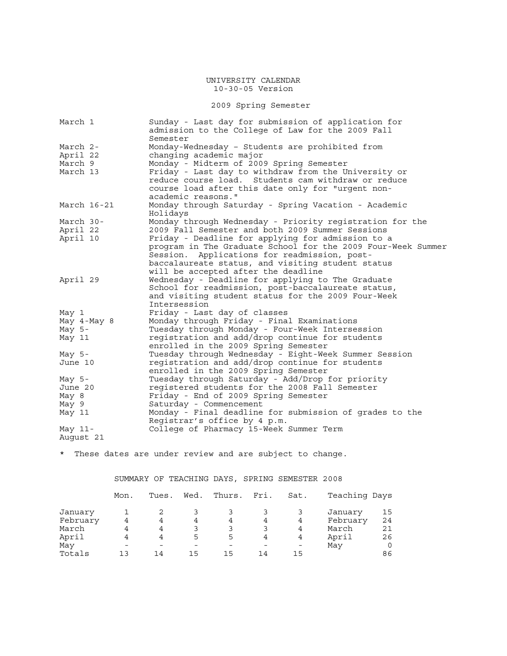# 2009 Spring Semester

| March 1     | Sunday - Last day for submission of application for<br>admission to the College of Law for the 2009 Fall |
|-------------|----------------------------------------------------------------------------------------------------------|
| March 2-    | Semester                                                                                                 |
| April 22    | Monday-Wednesday - Students are prohibited from<br>changing academic major                               |
| March 9     | Monday - Midterm of 2009 Spring Semester                                                                 |
| March 13    | Friday - Last day to withdraw from the University or                                                     |
|             | reduce course load. Students cam withdraw or reduce                                                      |
|             | course load after this date only for "urgent non-                                                        |
|             | academic reasons."                                                                                       |
| March 16-21 | Monday through Saturday - Spring Vacation - Academic                                                     |
|             | Holidays                                                                                                 |
| March 30-   | Monday through Wednesday - Priority registration for the                                                 |
| April 22    | 2009 Fall Semester and both 2009 Summer Sessions                                                         |
| April 10    | Friday - Deadline for applying for admission to a                                                        |
|             | program in The Graduate School for the 2009 Four-Week Summer                                             |
|             | Session. Applications for readmission, post-                                                             |
|             | baccalaureate status, and visiting student status                                                        |
|             | will be accepted after the deadline                                                                      |
| April 29    | Wednesday - Deadline for applying to The Graduate                                                        |
|             | School for readmission, post-baccalaureate status,                                                       |
|             | and visiting student status for the 2009 Four-Week                                                       |
|             | Intersession                                                                                             |
| May 1       | Friday - Last day of classes                                                                             |
| May 4-May 8 | Monday through Friday - Final Examinations                                                               |
| May $5-$    | Tuesday through Monday - Four-Week Intersession                                                          |
| May 11      | registration and add/drop continue for students                                                          |
|             | enrolled in the 2009 Spring Semester                                                                     |
| May $5-$    | Tuesday through Wednesday - Eight-Week Summer Session                                                    |
| June 10     | registration and add/drop continue for students                                                          |
|             | enrolled in the 2009 Spring Semester                                                                     |
| May $5-$    | Tuesday through Saturday - Add/Drop for priority                                                         |
| June 20     | registered students for the 2008 Fall Semester                                                           |
| May 8       | Friday - End of 2009 Spring Semester                                                                     |
| May 9       | Saturday - Commencement                                                                                  |
| May 11      | Monday - Final deadline for submission of grades to the                                                  |
|             | Registrar's office by 4 p.m.                                                                             |
| May $11-$   | College of Pharmacy 15-Week Summer Term                                                                  |
| August 21   |                                                                                                          |

\* These dates are under review and are subject to change.

SUMMARY OF TEACHING DAYS, SPRING SEMESTER 2008

|          | Mon. | Tues. | Wed.                     | Thurs. | Fri. | Sat.                     | Teaching Days |    |
|----------|------|-------|--------------------------|--------|------|--------------------------|---------------|----|
| January  |      |       |                          |        |      |                          | January       | 15 |
| February | 4    | 4     | 4                        | 4      | 4    | 4                        | February      | 24 |
| March    | 4    | 4     |                          |        | 3    | 4                        | March         | 21 |
| April    | 4    | 4     | 5                        | 5      | 4    | 4                        | April         | 26 |
| May      |      |       | $\overline{\phantom{0}}$ |        |      | $\overline{\phantom{0}}$ | May           |    |
| Totals   | 1 ว  | 14    | 15                       | 15     | 14   | 15                       |               | 86 |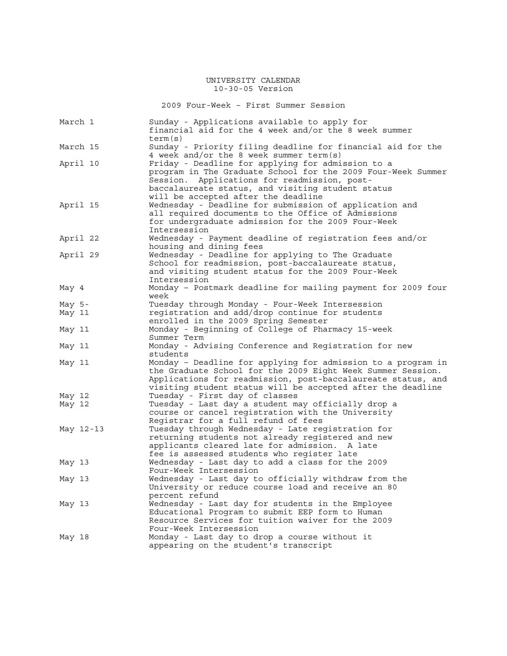2009 Four-Week – First Summer Session

| March 1   | Sunday - Applications available to apply for<br>financial aid for the 4 week and/or the 8 week summer<br>term(s)                                                                                                                                              |
|-----------|---------------------------------------------------------------------------------------------------------------------------------------------------------------------------------------------------------------------------------------------------------------|
| March 15  | Sunday - Priority filing deadline for financial aid for the<br>4 week and/or the 8 week summer term(s)                                                                                                                                                        |
| April 10  | Friday - Deadline for applying for admission to a<br>program in The Graduate School for the 2009 Four-Week Summer<br>Session. Applications for readmission, post-<br>baccalaureate status, and visiting student status<br>will be accepted after the deadline |
| April 15  | Wednesday - Deadline for submission of application and<br>all required documents to the Office of Admissions<br>for undergraduate admission for the 2009 Four-Week<br>Intersession                                                                            |
| April 22  | Wednesday - Payment deadline of registration fees and/or<br>housing and dining fees                                                                                                                                                                           |
| April 29  | Wednesday - Deadline for applying to The Graduate<br>School for readmission, post-baccalaureate status,<br>and visiting student status for the 2009 Four-Week<br>Intersession                                                                                 |
| May 4     | Monday - Postmark deadline for mailing payment for 2009 four<br>week                                                                                                                                                                                          |
| May $5-$  | Tuesday through Monday - Four-Week Intersession                                                                                                                                                                                                               |
| May 11    | registration and add/drop continue for students<br>enrolled in the 2009 Spring Semester                                                                                                                                                                       |
| May 11    | Monday - Beginning of College of Pharmacy 15-week<br>Summer Term                                                                                                                                                                                              |
| May 11    | Monday - Advising Conference and Registration for new<br>students                                                                                                                                                                                             |
| May 11    | Monday - Deadline for applying for admission to a program in<br>the Graduate School for the 2009 Eight Week Summer Session.<br>Applications for readmission, post-baccalaureate status, and<br>visiting student status will be accepted after the deadline    |
| May 12    | Tuesday - First day of classes                                                                                                                                                                                                                                |
| May 12    | Tuesday - Last day a student may officially drop a<br>course or cancel registration with the University<br>Registrar for a full refund of fees                                                                                                                |
| May 12-13 | Tuesday through Wednesday - Late registration for<br>returning students not already registered and new<br>applicants cleared late for admission.<br>A late<br>fee is assessed students who register late                                                      |
| May 13    | Wednesday - Last day to add a class for the 2009<br>Four-Week Intersession                                                                                                                                                                                    |
| May 13    | Wednesday - Last day to officially withdraw from the<br>University or reduce course load and receive an 80<br>percent refund                                                                                                                                  |
| May 13    | Wednesday - Last day for students in the Employee<br>Educational Program to submit EEP form to Human<br>Resource Services for tuition waiver for the 2009<br>Four-Week Intersession                                                                           |
| May 18    | Monday - Last day to drop a course without it<br>appearing on the student's transcript                                                                                                                                                                        |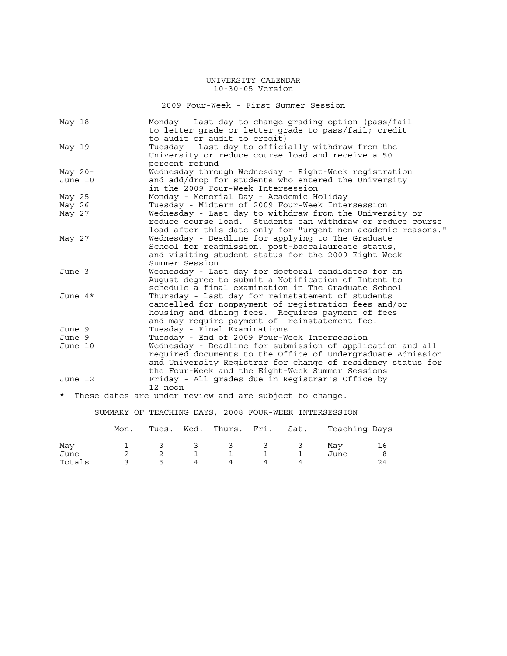2009 Four-Week - First Summer Session

| May 18     | Monday - Last day to change grading option (pass/fail<br>to letter grade or letter grade to pass/fail; credit |
|------------|---------------------------------------------------------------------------------------------------------------|
|            | to audit or audit to credit)                                                                                  |
| May 19     | Tuesday - Last day to officially withdraw from the                                                            |
|            | University or reduce course load and receive a 50                                                             |
|            | percent refund                                                                                                |
| May $20 -$ | Wednesday through Wednesday - Eight-Week registration                                                         |
| June 10    | and add/drop for students who entered the University                                                          |
|            | in the 2009 Four-Week Intersession                                                                            |
| May 25     | Monday - Memorial Day - Academic Holiday                                                                      |
| May 26     | Tuesday - Midterm of 2009 Four-Week Intersession                                                              |
| May 27     | Wednesday - Last day to withdraw from the University or                                                       |
|            | reduce course load. Students can withdraw or reduce course                                                    |
|            | load after this date only for "urgent non-academic reasons."                                                  |
| May 27     | Wednesday - Deadline for applying to The Graduate                                                             |
|            | School for readmission, post-baccalaureate status,                                                            |
|            | and visiting student status for the 2009 Eight-Week                                                           |
|            | Summer Session                                                                                                |
| June 3     | Wednesday - Last day for doctoral candidates for an                                                           |
|            | August degree to submit a Notification of Intent to                                                           |
|            | schedule a final examination in The Graduate School                                                           |
| June $4*$  | Thursday - Last day for reinstatement of students                                                             |
|            | cancelled for nonpayment of registration fees and/or                                                          |
|            | housing and dining fees. Requires payment of fees                                                             |
|            | and may require payment of reinstatement fee.                                                                 |
| June 9     | Tuesday - Final Examinations                                                                                  |
| June 9     | Tuesday - End of 2009 Four-Week Intersession                                                                  |
| June 10    | Wednesday - Deadline for submission of application and all                                                    |
|            | required documents to the Office of Undergraduate Admission                                                   |
|            | and University Registrar for change of residency status for                                                   |
|            | the Four-Week and the Eight-Week Summer Sessions                                                              |
| June 12    | Friday - All grades due in Registrar's Office by                                                              |
|            | 12 noon                                                                                                       |

\* These dates are under review and are subject to change.

# SUMMARY OF TEACHING DAYS, 2008 FOUR-WEEK INTERSESSION

|        | Mon. |   |                                 | Tues. Wed. Thurs. Fri. Sat.   |               | Teaching Days |    |
|--------|------|---|---------------------------------|-------------------------------|---------------|---------------|----|
| Mav    |      |   | $\mathcal{A}$ and $\mathcal{A}$ | $\overline{3}$ $\overline{3}$ | $\frac{3}{3}$ | Mav           | 16 |
| June   |      |   |                                 |                               |               | June          |    |
| Totals |      | 5 |                                 |                               |               |               |    |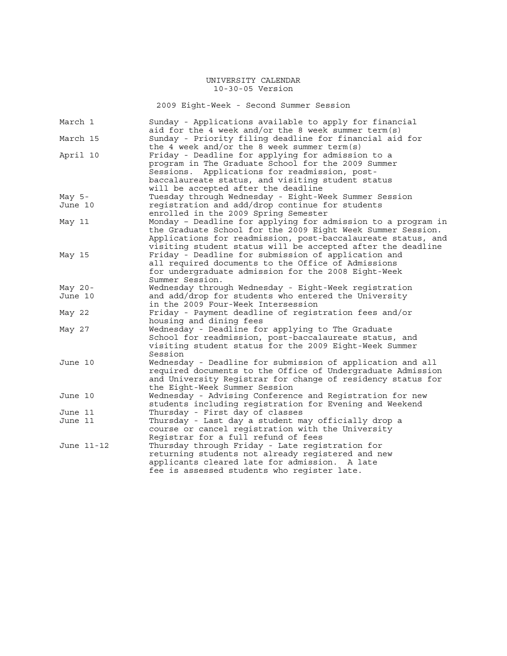2009 Eight-Week - Second Summer Session

| March 1    | Sunday - Applications available to apply for financial<br>aid for the 4 week and/or the 8 week summer term(s) |
|------------|---------------------------------------------------------------------------------------------------------------|
| March 15   | Sunday - Priority filing deadline for financial aid for                                                       |
|            | the 4 week and/or the 8 week summer term(s)                                                                   |
| April 10   | Friday - Deadline for applying for admission to a                                                             |
|            | program in The Graduate School for the 2009 Summer                                                            |
|            | Applications for readmission, post-<br>Sessions.                                                              |
|            | baccalaureate status, and visiting student status                                                             |
|            | will be accepted after the deadline                                                                           |
| May $5-$   | Tuesday through Wednesday - Eight-Week Summer Session                                                         |
| June 10    | registration and add/drop continue for students                                                               |
|            | enrolled in the 2009 Spring Semester                                                                          |
| May 11     | Monday - Deadline for applying for admission to a program in                                                  |
|            | the Graduate School for the 2009 Eight Week Summer Session.                                                   |
|            | Applications for readmission, post-baccalaureate status, and                                                  |
|            | visiting student status will be accepted after the deadline                                                   |
| May 15     | Friday - Deadline for submission of application and                                                           |
|            | all required documents to the Office of Admissions                                                            |
|            | for undergraduate admission for the 2008 Eight-Week                                                           |
|            | Summer Session.                                                                                               |
| May $20 -$ | Wednesday through Wednesday - Eight-Week registration                                                         |
| June 10    | and add/drop for students who entered the University                                                          |
|            | in the 2009 Four-Week Intersession                                                                            |
| May 22     | Friday - Payment deadline of registration fees and/or                                                         |
|            | housing and dining fees                                                                                       |
| May 27     | Wednesday - Deadline for applying to The Graduate                                                             |
|            | School for readmission, post-baccalaureate status, and                                                        |
|            | visiting student status for the 2009 Eight-Week Summer                                                        |
|            | Session                                                                                                       |
| June 10    | Wednesday - Deadline for submission of application and all                                                    |
|            | required documents to the Office of Undergraduate Admission                                                   |
|            | and University Registrar for change of residency status for                                                   |
|            | the Eight-Week Summer Session                                                                                 |
| June 10    | Wednesday - Advising Conference and Registration for new                                                      |
|            | students including registration for Evening and Weekend                                                       |
| June 11    | Thursday - First day of classes                                                                               |
| June 11    | Thursday - Last day a student may officially drop a                                                           |
|            | course or cancel registration with the University                                                             |
|            | Registrar for a full refund of fees                                                                           |
| June 11-12 | Thursday through Friday - Late registration for                                                               |
|            | returning students not already registered and new                                                             |
|            | applicants cleared late for admission. A late                                                                 |
|            | fee is assessed students who register late.                                                                   |
|            |                                                                                                               |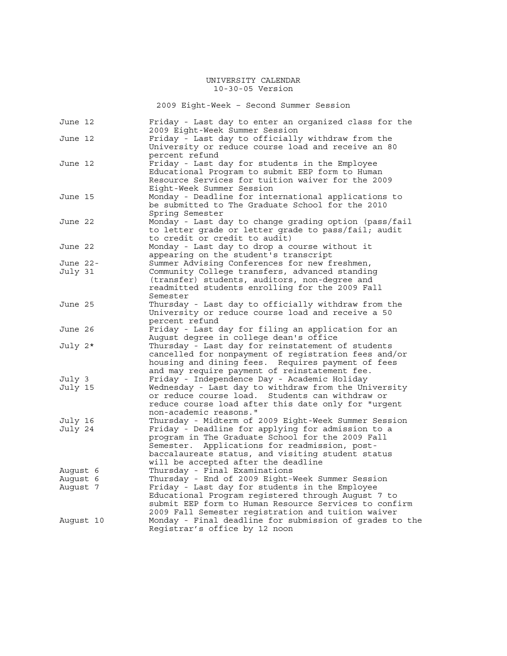2009 Eight-Week – Second Summer Session

| June 12   |  | Friday - Last day to enter an organized class for the<br>2009 Eight-Week Summer Session                     |  |  |  |  |  |
|-----------|--|-------------------------------------------------------------------------------------------------------------|--|--|--|--|--|
| June 12   |  | Friday - Last day to officially withdraw from the<br>University or reduce course load and receive an 80     |  |  |  |  |  |
|           |  | percent refund                                                                                              |  |  |  |  |  |
| June 12   |  | Friday - Last day for students in the Employee                                                              |  |  |  |  |  |
|           |  | Educational Program to submit EEP form to Human                                                             |  |  |  |  |  |
|           |  | Resource Services for tuition waiver for the 2009                                                           |  |  |  |  |  |
|           |  | Eight-Week Summer Session                                                                                   |  |  |  |  |  |
| June 15   |  | Monday - Deadline for international applications to                                                         |  |  |  |  |  |
|           |  | be submitted to The Graduate School for the 2010                                                            |  |  |  |  |  |
| June 22   |  | Spring Semester<br>Monday - Last day to change grading option (pass/fail                                    |  |  |  |  |  |
|           |  | to letter grade or letter grade to pass/fail; audit                                                         |  |  |  |  |  |
|           |  | to credit or credit to audit)                                                                               |  |  |  |  |  |
| June 22   |  | Monday - Last day to drop a course without it                                                               |  |  |  |  |  |
|           |  | appearing on the student's transcript                                                                       |  |  |  |  |  |
| June 22-  |  | Summer Advising Conferences for new freshmen,                                                               |  |  |  |  |  |
| July 31   |  | Community College transfers, advanced standing                                                              |  |  |  |  |  |
|           |  | (transfer) students, auditors, non-degree and                                                               |  |  |  |  |  |
|           |  | readmitted students enrolling for the 2009 Fall                                                             |  |  |  |  |  |
|           |  | Semester                                                                                                    |  |  |  |  |  |
| June 25   |  | Thursday - Last day to officially withdraw from the                                                         |  |  |  |  |  |
|           |  | University or reduce course load and receive a 50                                                           |  |  |  |  |  |
|           |  | percent refund                                                                                              |  |  |  |  |  |
| June 26   |  | Friday - Last day for filing an application for an                                                          |  |  |  |  |  |
|           |  | August degree in college dean's office                                                                      |  |  |  |  |  |
| July 2*   |  | Thursday - Last day for reinstatement of students                                                           |  |  |  |  |  |
|           |  | cancelled for nonpayment of registration fees and/or<br>housing and dining fees. Requires payment of fees   |  |  |  |  |  |
|           |  | and may require payment of reinstatement fee.                                                               |  |  |  |  |  |
| July 3    |  | Friday - Independence Day - Academic Holiday                                                                |  |  |  |  |  |
| July 15   |  | Wednesday - Last day to withdraw from the University                                                        |  |  |  |  |  |
|           |  | or reduce course load. Students can withdraw or                                                             |  |  |  |  |  |
|           |  | reduce course load after this date only for "urgent                                                         |  |  |  |  |  |
|           |  | non-academic reasons."                                                                                      |  |  |  |  |  |
| July 16   |  | Thursday - Midterm of 2009 Eight-Week Summer Session                                                        |  |  |  |  |  |
| July 24   |  | Friday - Deadline for applying for admission to a                                                           |  |  |  |  |  |
|           |  | program in The Graduate School for the 2009 Fall                                                            |  |  |  |  |  |
|           |  | Semester. Applications for readmission, post-                                                               |  |  |  |  |  |
|           |  | baccalaureate status, and visiting student status                                                           |  |  |  |  |  |
|           |  | will be accepted after the deadline                                                                         |  |  |  |  |  |
| August 6  |  | Thursday - Final Examinations                                                                               |  |  |  |  |  |
| Auqust 6  |  | Thursday - End of 2009 Eight-Week Summer Session                                                            |  |  |  |  |  |
| August 7  |  | Friday - Last day for students in the Employee                                                              |  |  |  |  |  |
|           |  | Educational Program registered through August 7 to                                                          |  |  |  |  |  |
|           |  | submit EEP form to Human Resource Services to confirm<br>2009 Fall Semester registration and tuition waiver |  |  |  |  |  |
| August 10 |  | Monday - Final deadline for submission of grades to the                                                     |  |  |  |  |  |
|           |  | Registrar's office by 12 noon                                                                               |  |  |  |  |  |